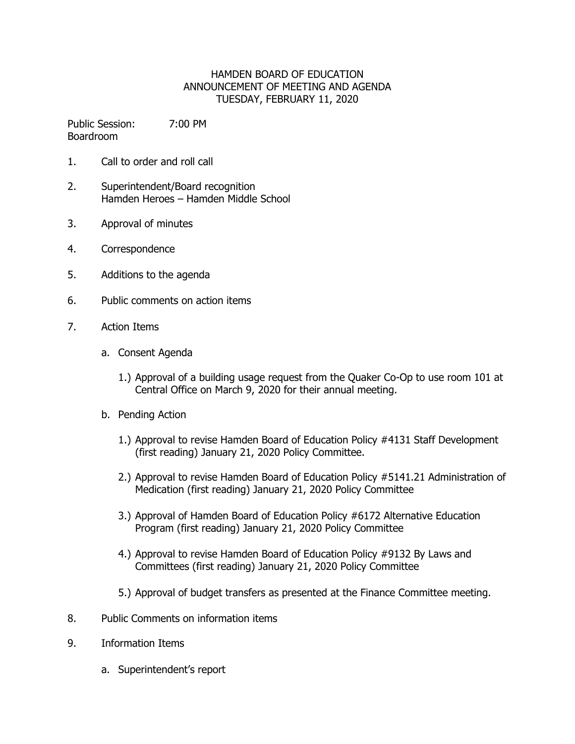## HAMDEN BOARD OF EDUCATION ANNOUNCEMENT OF MEETING AND AGENDA TUESDAY, FEBRUARY 11, 2020

Public Session: 7:00 PM Boardroom

- 1. Call to order and roll call
- 2. Superintendent/Board recognition Hamden Heroes – Hamden Middle School
- 3. Approval of minutes
- 4. Correspondence
- 5. Additions to the agenda
- 6. Public comments on action items
- 7. Action Items
	- a. Consent Agenda
		- 1.) Approval of a building usage request from the Quaker Co-Op to use room 101 at Central Office on March 9, 2020 for their annual meeting.
	- b. Pending Action
		- 1.) Approval to revise Hamden Board of Education Policy #4131 Staff Development (first reading) January 21, 2020 Policy Committee.
		- 2.) Approval to revise Hamden Board of Education Policy #5141.21 Administration of Medication (first reading) January 21, 2020 Policy Committee
		- 3.) Approval of Hamden Board of Education Policy #6172 Alternative Education Program (first reading) January 21, 2020 Policy Committee
		- 4.) Approval to revise Hamden Board of Education Policy #9132 By Laws and Committees (first reading) January 21, 2020 Policy Committee
		- 5.) Approval of budget transfers as presented at the Finance Committee meeting.
- 8. Public Comments on information items
- 9. Information Items
	- a. Superintendent's report